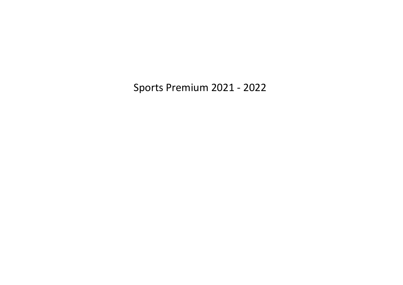Sports Premium 2021 - 2022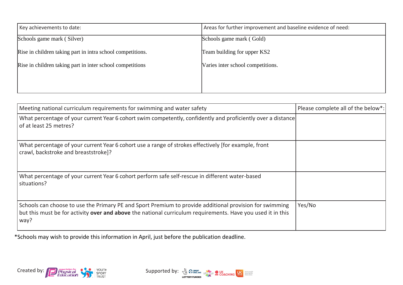| Key achievements to date:                                  | Areas for further improvement and baseline evidence of need: |
|------------------------------------------------------------|--------------------------------------------------------------|
| Schools game mark (Silver)                                 | Schools game mark (Gold)                                     |
| Rise in children taking part in intra school competitions. | Team building for upper KS2                                  |
| Rise in children taking part in inter school competitions  | Varies inter school competitions.                            |
|                                                            |                                                              |
|                                                            |                                                              |

| Meeting national curriculum requirements for swimming and water safety                                                                                                                                                         | Please complete all of the below*: |
|--------------------------------------------------------------------------------------------------------------------------------------------------------------------------------------------------------------------------------|------------------------------------|
| What percentage of your current Year 6 cohort swim competently, confidently and proficiently over a distance<br>of at least 25 metres?                                                                                         |                                    |
| What percentage of your current Year 6 cohort use a range of strokes effectively [for example, front<br>crawl, backstroke and breaststroke]?                                                                                   |                                    |
| What percentage of your current Year 6 cohort perform safe self-rescue in different water-based<br>situations?                                                                                                                 |                                    |
| Schools can choose to use the Primary PE and Sport Premium to provide additional provision for swimming<br>but this must be for activity over and above the national curriculum requirements. Have you used it in this<br>way? | Yes/No                             |

\*Schools may wish to provide this information in April, just before the publication deadline.



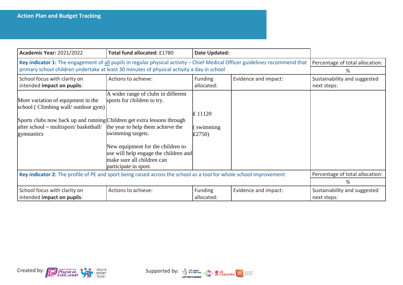| <b>Academic Year: 2021/2022</b>                                                                                                                                                                             | Total fund allocated: £1780                                                                                                                                                                                                                                       | Date Updated:                |                      |                                             |
|-------------------------------------------------------------------------------------------------------------------------------------------------------------------------------------------------------------|-------------------------------------------------------------------------------------------------------------------------------------------------------------------------------------------------------------------------------------------------------------------|------------------------------|----------------------|---------------------------------------------|
| Key indicator 1: The engagement of all pupils in regular physical activity - Chief Medical Officer guidelines recommend that                                                                                | Percentage of total allocation:                                                                                                                                                                                                                                   |                              |                      |                                             |
| primary school children undertake at least 30 minutes of physical activity a day in school                                                                                                                  |                                                                                                                                                                                                                                                                   |                              |                      | ℅                                           |
| School focus with clarity on<br>intended impact on pupils:                                                                                                                                                  | Actions to achieve:                                                                                                                                                                                                                                               | Funding<br>allocated:        | Evidence and impact: | Sustainability and suggested<br>next steps: |
| More variation of equipment in the<br>school (Climbing wall/outdoor gym)<br>Sports clubs now back up and running Children get extra lessons through<br>after school – multisport/ basketball/<br>gymnastics | A wider range of clubs in different<br>sports for children to try.<br>the year to help them achieve the<br>swimming targets.<br>New equipment for the children to<br>use will help engage the children and<br>make sure all children can<br>participate in sport. | £ 11120<br>swimming<br>E2750 |                      |                                             |
| Key indicator 2: The profile of PE and sport being raised across the school as a tool for whole school improvement                                                                                          |                                                                                                                                                                                                                                                                   |                              |                      | Percentage of total allocation:<br>%        |
| School focus with clarity on<br>intended impact on pupils:                                                                                                                                                  | Actions to achieve:                                                                                                                                                                                                                                               | Funding<br>allocated:        | Evidence and impact: | Sustainability and suggested<br>next steps: |



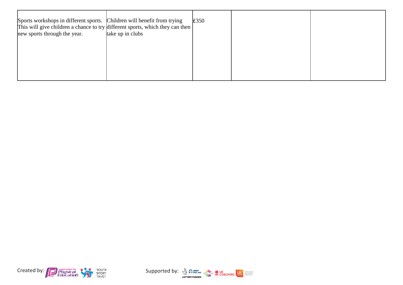| Sports workshops in different sports. Children will benefit from trying<br>This will give children a chance to try different sports, which they can then<br>new sports through the year. | take up in clubs | £350 |  |
|------------------------------------------------------------------------------------------------------------------------------------------------------------------------------------------|------------------|------|--|
|                                                                                                                                                                                          |                  |      |  |
|                                                                                                                                                                                          |                  |      |  |